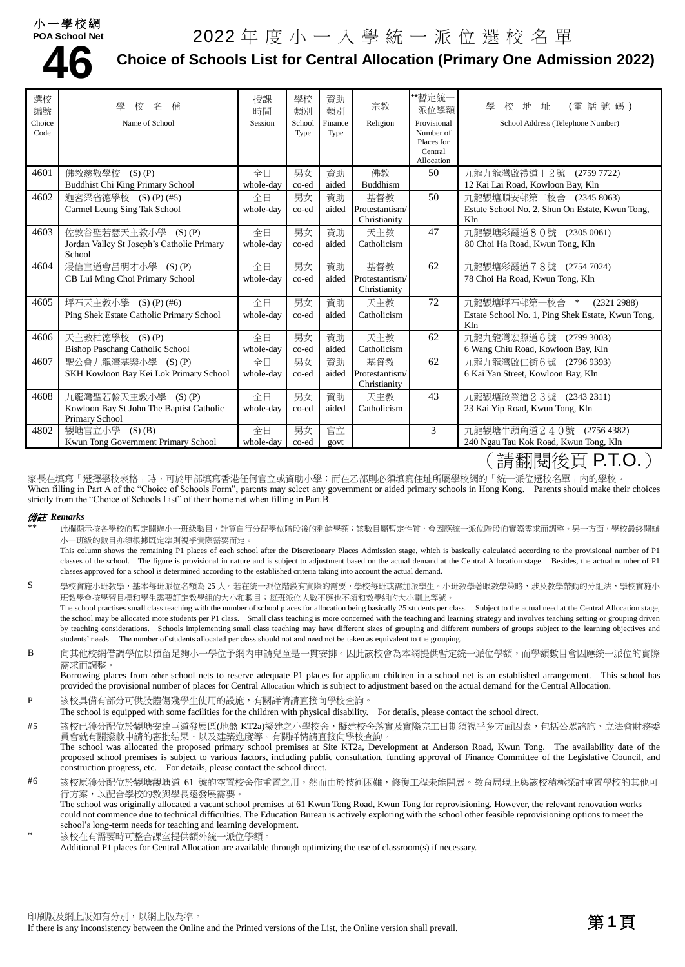#### 小一學校網 **POA School Net**



# 2022 年度小一入學統一派位選校名單

### **Choice of Schools List for Central Allocation (Primary One Admission 2022)**

| 選校<br>編號       | 學<br>校<br>名<br>稱                                                                 | 授課<br>時間        | 學校<br>類別       | 資助<br>類別        | 宗教                                    | **暫定統一<br>派位學額                                                  | 壆<br>(電話號碼)<br>校<br>地址                                                                   |
|----------------|----------------------------------------------------------------------------------|-----------------|----------------|-----------------|---------------------------------------|-----------------------------------------------------------------|------------------------------------------------------------------------------------------|
| Choice<br>Code | Name of School                                                                   | Session         | School<br>Type | Finance<br>Type | Religion                              | Provisional<br>Number of<br>Places for<br>Central<br>Allocation | School Address (Telephone Number)                                                        |
| 4601           | 佛教慈敬學校 (S)(P)<br><b>Buddhist Chi King Primary School</b>                         | 全日<br>whole-day | 男女<br>co-ed    | 資助<br>aided     | 佛教<br><b>Buddhism</b>                 | 50                                                              | 九龍九龍灣啟禮道12號 (2759 7722)<br>12 Kai Lai Road, Kowloon Bay, Kln                             |
| 4602           | 迦密梁省德學校 (S)(P)(#5)<br>Carmel Leung Sing Tak School                               | 全日<br>whole-day | 男女<br>co-ed    | 資助<br>aided     | 基督教<br>Protestantism/<br>Christianity | 50                                                              | 九龍觀塘順安邨第二校舍 (2345 8063)<br>Estate School No. 2, Shun On Estate, Kwun Tong,<br>Kln        |
| 4603           | 佐敦谷聖若瑟天主教小學 (S)(P)<br>Jordan Valley St Joseph's Catholic Primary<br>School       | 全日<br>whole-day | 男女<br>co-ed    | 資助<br>aided     | 天主教<br>Catholicism                    | 47                                                              | 九龍觀塘彩霞道80號 (2305 0061)<br>80 Choi Ha Road, Kwun Tong, Kln                                |
| 4604           | 浸信宣道會呂明才小學 (S)(P)<br>CB Lui Ming Choi Primary School                             | 全日<br>whole-day | 男女<br>co-ed    | 資助<br>aided     | 基督教<br>Protestantism/<br>Christianity | 62                                                              | 九龍觀塘彩霞道78號 (2754 7024)<br>78 Choi Ha Road, Kwun Tong, Kln                                |
| 4605           | 坪石天主教小學 (S)(P)(#6)<br>Ping Shek Estate Catholic Primary School                   | 全日<br>whole-day | 男女<br>co-ed    | 資助<br>aided     | 天主教<br>Catholicism                    | 72                                                              | 九龍觀塘坪石邨第一校舍 *<br>(2321 2988)<br>Estate School No. 1, Ping Shek Estate, Kwun Tong,<br>Kln |
| 4606           | 天主教柏德學校 (S)(P)<br><b>Bishop Paschang Catholic School</b>                         | 全日<br>whole-day | 男女<br>co-ed    | 資助<br>aided     | 天主教<br>Catholicism                    | 62                                                              | 九龍九龍灣宏照道6號 (2799 3003)<br>6 Wang Chiu Road, Kowloon Bay, Kln                             |
| 4607           | 聖公會九龍灣基樂小學 (S)(P)<br>SKH Kowloon Bay Kei Lok Primary School                      | 全日<br>whole-day | 男女<br>co-ed    | 資助<br>aided     | 基督教<br>Protestantism/<br>Christianity | 62                                                              | 九龍九龍灣啟仁街6號 (2796 9393)<br>6 Kai Yan Street, Kowloon Bay, Kln                             |
| 4608           | 九龍灣聖若翰天主教小學 (S)(P)<br>Kowloon Bay St John The Baptist Catholic<br>Primary School | 全日<br>whole-day | 男女<br>co-ed    | 資助<br>aided     | 天主教<br>Catholicism                    | 43                                                              | 九龍觀塘啟業道23號 (2343 2311)<br>23 Kai Yip Road, Kwun Tong, Kln                                |
| 4802           | 觀塘官立小學 (S)(B)<br>Kwun Tong Government Primary School                             | 全日<br>whole-day | 男女<br>co-ed    | 官立<br>govt      |                                       | 3                                                               | 九龍觀塘牛頭角道240號 (27564382)<br>240 Ngau Tau Kok Road, Kwun Tong, Kln                         |

## (請翻閱後頁 P.T.O.)

家長在填寫「選擇學校表格」時,可於甲部填寫香港任何官立或資助小學;而在乙部則必須填寫住址所屬學校網的「統一派位選校名單」內的學校。 When filling in Part A of the "Choice of Schools Form", parents may select any government or aided primary schools in Hong Kong. Parents should make their choices strictly from the "Choice of Schools List" of their home net when filling in Part B.

#### 備註 *Remarks*

- 此欄顯示按各學校的暫定開辦小一班級數目,計算自行分配學位階段後的剩餘學額;該數目屬暫定性質,會因應統一派位階段的實際需求而調整。另一方面,學校最終開辦 小一班級的數目亦須根據既定準則視乎實際需要而定。
	- This column shows the remaining P1 places of each school after the Discretionary Places Admission stage, which is basically calculated according to the provisional number of P1 classes of the school. The figure is provisional in nature and is subject to adjustment based on the actual demand at the Central Allocation stage. Besides, the actual number of P1 classes approved for a school is determined according to the established criteria taking into account the actual demand.
- S 學校實施小班教學,基本每班派位名額為 25 人。若在統一派位階段有實際的需要,學校每班或需加派學生。小班教學著眼教學策略,涉及教學帶動的分組法,學校實施小 班教學會按學習目標和學生需要訂定教學組的大小和數目;每班派位人數不應也不須和教學組的大小劃上等號。 The school practises small class teaching with the number of school places for allocation being basically 25 students per class. Subject to the actual need at the Central Allocation stage,

the school may be allocated more students per P1 class. Small class teaching is more concerned with the teaching and learning strategy and involves teaching setting or grouping driven by teaching considerations. Schools implementing small class teaching may have different sizes of grouping and different numbers of groups subject to the learning objectives and students' needs. The number of students allocated per class should not and need not be taken as equivalent to the grouping.

B 向其他校網借調學位以預留足夠小一學位予網內申請兒童是一貫安排。因此該校會為本網提供暫定統一派位學額,而學額數目會因應統一派位的實際 需求而調整。

Borrowing places from other school nets to reserve adequate P1 places for applicant children in a school net is an established arrangement. This school has provided the provisional number of places for Central Allocation which is subject to adjustment based on the actual demand for the Central Allocation.

P 該校具備有部分可供肢體傷殘學生使用的設施,有關詳情請直接向學校查詢。

The school is equipped with some facilities for the children with physical disability. For details, please contact the school direct.

#5 該校已獲分配位於觀塘安達臣道發展區(地盤 KT2a)擬建之小學校舍,擬建校舍落實及實際完工日期須視乎多方面因素,包括公眾諮詢、立法會財務委 員會就有關撥款申請的審批結果、以及建築進度等。有關詳情請直接向學校查詢。 The school was allocated the proposed primary school premises at Site KT2a, Development at Anderson Road, Kwun Tong. The availability date of the

proposed school premises is subject to various factors, including public consultation, funding approval of Finance Committee of the Legislative Council, and construction progress, etc. For details, please contact the school direct.

#6 該校原獲分配位於觀塘觀塘道 61 號的空置校舍作重置之用,然而由於技術困難,修復工程未能開展。教育局現正與該校積極探討重置學校的其他可 行方案,以配合學校的教與學長遠發展需要。 The school was originally allocated a vacant school premises at 61 Kwun Tong Road, Kwun Tong for reprovisioning. However, the relevant renovation works

could not commence due to technical difficulties. The Education Bureau is actively exploring with the school other feasible reprovisioning options to meet the school's long-term needs for teaching and learning development. 該校在有需要時可整合課室提供額外統一派位學額。

Additional P1 places for Central Allocation are available through optimizing the use of classroom(s) if necessary.